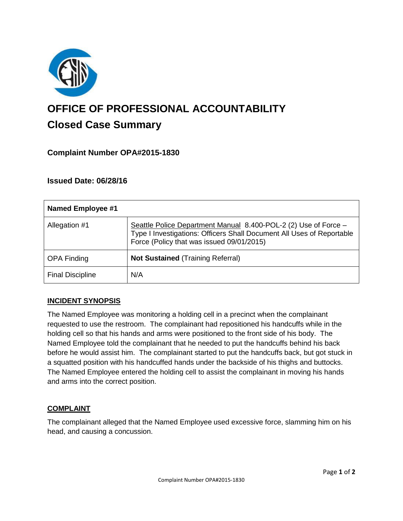

# **OFFICE OF PROFESSIONAL ACCOUNTABILITY Closed Case Summary**

## **Complaint Number OPA#2015-1830**

## **Issued Date: 06/28/16**

| Named Employee #1       |                                                                                                                                                                                       |
|-------------------------|---------------------------------------------------------------------------------------------------------------------------------------------------------------------------------------|
| Allegation #1           | Seattle Police Department Manual 8.400-POL-2 (2) Use of Force -<br>Type I Investigations: Officers Shall Document All Uses of Reportable<br>Force (Policy that was issued 09/01/2015) |
| <b>OPA Finding</b>      | <b>Not Sustained (Training Referral)</b>                                                                                                                                              |
| <b>Final Discipline</b> | N/A                                                                                                                                                                                   |

#### **INCIDENT SYNOPSIS**

The Named Employee was monitoring a holding cell in a precinct when the complainant requested to use the restroom. The complainant had repositioned his handcuffs while in the holding cell so that his hands and arms were positioned to the front side of his body. The Named Employee told the complainant that he needed to put the handcuffs behind his back before he would assist him. The complainant started to put the handcuffs back, but got stuck in a squatted position with his handcuffed hands under the backside of his thighs and buttocks. The Named Employee entered the holding cell to assist the complainant in moving his hands and arms into the correct position.

#### **COMPLAINT**

The complainant alleged that the Named Employee used excessive force, slamming him on his head, and causing a concussion.